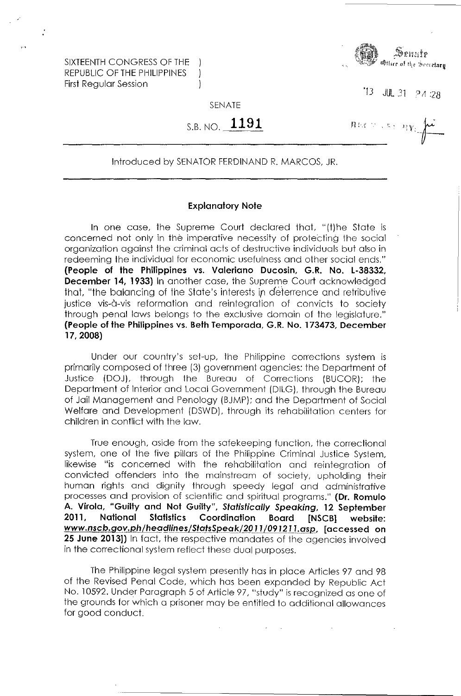SIXTEENTH CONGRESS OF THE REPUBLIC OF THE PHILIPPINES First Regular Session



 $B(x > 15, 2)$ 

 $13$  JUL 31  $24.28$ 

SENATE

-1  $\mathcal{L}$  $\mathcal{C}$ 

S.B. NO. **1191** 

## Introduced by SENATOR FERDINAND R. MARCOS, JR.

## **Explanatory Note**

In one case, the Supreme Court declared that, "(t) he State is concerned not only in the imperative necessity of protecting the social organization against the criminal acts of destructive individuals but also in redeeming the individual for economic usefulness and other social ends." **(People of the Philippines vs. Valeriano Ducosin,** G.R. **No. L-38332, December 14, 1933)** In another case, the Supreme Court acknowledged that, "the balancing of the State's interests in deterrence and retributive justice vis-à-vis reformation and reintegration of convicts to society through penal laws belongs to the exclusive domain of the legislature." **(People of the Philippines** vs. **Beth Temporada,** G.R. **No. 173473, December 17,2008)** 

Under our country's set-up, the Philippine corrections system is primarily composed of three (3) government agencies: the Department of Justice (DOJ), through the Bureau of Corrections (BUCOR); the Department of Interior and Local Government (DILG), through the Bureau of Jail Management and Penology (BJMP); and the Department of Social Welfare and Development (DSWD), through its rehabilitation centers for children in conflict with the law.

True enough, aside from the safekeeping function, the correctional system, one of the five pillars of the Philippine Criminal Justice System, likewise "is concerned with the rehabilitation and reintegration of convicted offenders into the mainstream of society, upholding their human rights and dignity through speedy legal and administrative processes and provision of scientific and spiritual programs." **(Dr. Romulo A. Virola, "Guilty and Not Guilty", Statistically Speaking, 12 September 2011, National Statistics Coordination Board [NSCB] website:**  www.nscb.gov.ph/headlines/StatsSpeak/2011/091211.asp, [accessed on **25 June 2013])** In fact, the respective mandates of the agencies involved in the correctional system reflect these dual purposes.

The Philippine legal system presently has in place Articles 97 and 98 of the Revised Penal Code, which has been expanded by Republic Act No. 10592. Under Paragraph 5 of Article 97, "study" is recognized as one of the grounds for which a prisoner may be entitled to additional allowances for good conduct.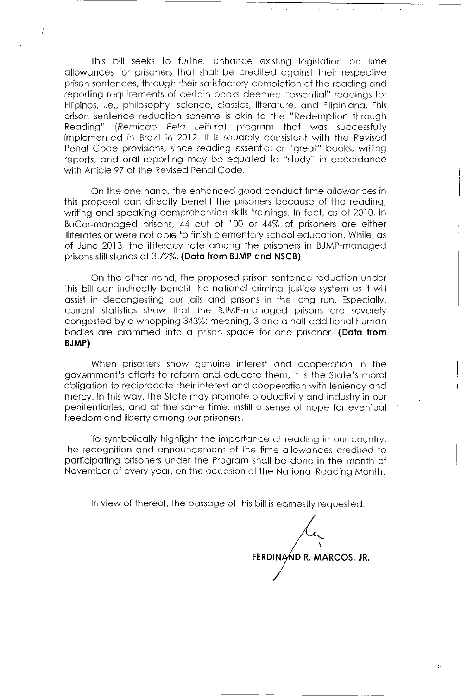This bill seeks to further enhance existing legislation on time allowances for prisoners that shall be credited against their respective prison sentences, through their satisfactory completion of the reading and reporting requirements of certain books deemed "essential" readings for Filipinos, i.e., philosophy, science, classics, literature, and Filipiniana. This prison sentence reduction scheme is akin to the "Redemption through Reading" (Remicao Pelo Leituro) program that was successfully implemented in Brazil in 2012. It is squarely consistent with the Revised Penal Code provisions. since reading essential or "great" books. writing reports, and oral reporting may be equated to "study" in accordance with Article 97 of the Revised Penal Code,

On the one hand. the enhanced good conduct time allowances in this proposal can directly benefit the prisoners because of the reading, writing and speaking comprehension skills trainings. In fact, as of 2010, in BuCor-managed prisons, 44 out of 100 or 44% of prisoners are either illiterates or were not able to finish elementary school education. While, as of June 2013, the illiteracy rate among the prisoners in BJMP-managed prisons still stands at 3.72%. **(Data from BJMP and NSCB)** 

On the other hand, the proposed prison sentence reduction under this bill can indirectly benefit the national criminal justice system as it will assist in decongesting our jails and prisons in the long run. Especially. current statistics show that the BJMP-managed prisons are severely congested by a whopping 343%: meaning. 3 and a half additional human bodies are crammed into a prison space for one prisoner. **(Data from BJMP)** 

When prisoners show genuine interest and cooperation in the govemment's efforts to reform and educate them, it is the state's moral obligation to reciprocate their interest and cooperation with leniency and mercy. In this way, the State may promote productivity and industry in our penitentiaries, and at the'same tim'e. instill a sense of hope for eventual freedom and liberty among our prisoners.

To symbolically highlight the importance of reading in our country, the recognition and announcement of the time allowances credited to participating prisoners under the Program shall be done in the month of November of every year, on the occasion of the National Reading Month.

In view of thereof, the passage of this bill is earnestly requested.

\ FERDINAND R. MARCOS, JR.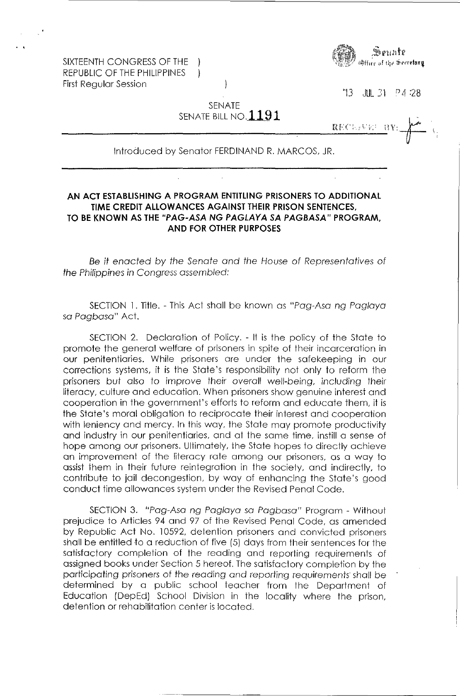SIXTEENTH CONGRESS OF THE REPUBLIC OF THE PHILIPPINES First Regular Session



'13 JUL 31 p 4 :28

SENATE SENATE BILL NO. $1191\,$ 

 $\mathcal{A}$ 

 $\mathbf{I}$ 

 $\underbrace{\bf RECL}$ ,  $\underbrace{\bf W}$ :  $\underbrace{\bf N}$ 

Introduced by Senator FERDINAND R. MARCOS, JR.

## **AN ACT ESTABLISHING A PROGRAM ENTITLING PRISONERS TO ADDITIONAL TIME CREDIT ALLOWANCES AGAINST THEIR PRISON SENTENCES, TO BE KNOWN AS THE "PAG-ASA NG PAGLAYA SA PAGBASA" PROGRAM, AND FOR OTHER PURPOSES**

Be it enacted by the Senate and the House of Representatives of the Philippines in Congress assembled:

SECTION 1. Title. - This Act shall be known as "Pag-Asa ng Pag/aya so Pagbasa" Act.

SECTION 2. Declaration of Policy. - It is the policy of the State to promote the general welfare of prisoners in spite of their incarceration in our penitentiaries. While prisoners are under the safekeeping in our corrections systems, it is the State's responsibility not only to reform the prisoners but also to improve their overall well-being, including their literacy, culture and education. When prisoners show genuine interest and cooperation in the government's efforts to reform and educate them, it is the State's moral obligation to reciprocate their interest and cooperation with leniency and mercy. In this way, the State may promote productivity and industry in our penitentiaries, and at the same time, instill a sense of hope among our prisoners. Ultimately, the State hopes to directly achieve an improvement of the literacy rate among our prisoners, as a way to assist them in their future reintegration in the society, and indirectly, to contribute to jail decongestion, by way of enhancing the State's good conduct time allowances system under the Revised Penal Code.

SECTION 3. "Pag-Asa ng Pag/aya so Pagbasa" Program - Without prejudice to Articles 94 and 97 of the Revised Penal Code, as amended by Republic Act No. 10592, detention prisoners and convicted prisoners shall be entitled to a reduction of five (5) days from their sentences for the satisfactory completion of the reading and reporting requirements of assigned books under Section 5 hereof. The satisfactory completion by the participating prisoners of the reading and reporting requirements shall be determined by a public school teacher from the Department of Education (DepEd) School Division in the locality where the prison, detention or rehabilitation center is located.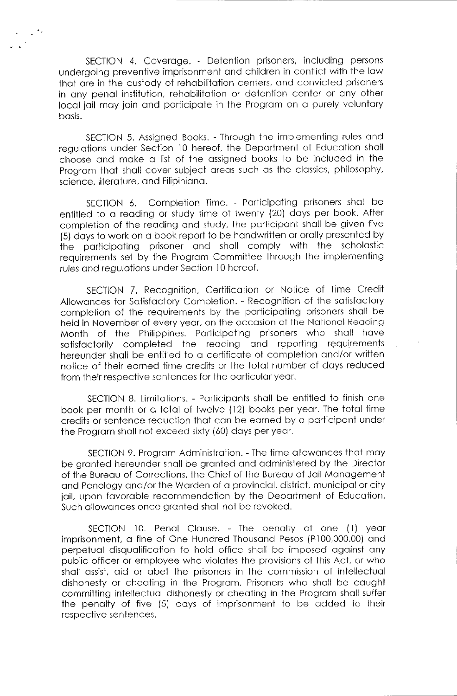SECTION 4. Coverage. - Detention prisoners, including persons undergoing preventive imprisonment and children in conflict with the law that are in the custody of rehabilitation centers, and convicted prisoners in any penal institution, rehabilitation or detention center or any other local jail may join and participate in the Program on a purely voluntary basis.

SECTION 5. Assigned Books. - Through the implementing rules and regulations under Section 10 hereof, the Department of Education shall choose and make a list of the assigned books to be included in the Program that shall cover subject areas such as the classics, philosophy, science, literature, and Filipiniana.

SECTION 6. Completion Time. - Participating prisoners shall be entitled to a reading or study time of twenty (20) days per book. After completion of the reading and study, the participant shall be given five (5) days to work on a book report to be handwritten or orally presented by the participating prisoner and shall comply with the scholastic requirements set by the Program Committee through the implementing rules and regulations under Section 10 hereof.

SECTION 7. Recognition, Certification or Notice of Time Credit Allowances for Satisfactory Completion. - Recognition of the satisfactory completion of the requirements by the participating prisoners shall be held in November of every year, on the occasion of the National Reading Month of the Philippines. Participating prisoners who shall have satisfactorily completed the reading and reporting requirements hereunder shall be entitled to a certificate of completion and/or written notice of their earned time credits or the total number of days reduced from their respective sentences for the particular year.

SECTION 8. Limitations. - Participants shall be entitled to finish one book per month or a total of twelve (12) books per year. The total time credits or sentence reduction that can be eamed by a participant under the Program shall not exceed sixty (60) days per year.

SECTION 9. Program Administration. - The time allowances that may be granted hereunder shall be granted and administered by the Director of the Bureau of Corrections, the Chief of the Bureau of Jail Management and Penology and/or the Warden of a provincial, district, municipal or city jail, upon favorable recommendation by the Department of Education. Such allowances *once* granted shall not be revoked.

SECTION 10. Penal Clause. - The penalty of one (1) year imprisonment, a fine of One Hundred Thousand Pesos (P100,000.00) and perpetual disqualification to hold office shall be imposed against any public officer or employee who violates the provisions of this Act, or who shall assist, aid or abet the prisoners in the commission of intellectual dishonesty or cheating in the Program. Prisoners who shall be caught committing intellectual dishonesty or cheating in the Program shall suffer the penalty of five (5) days of imprisonment to be added to their respective sentences.